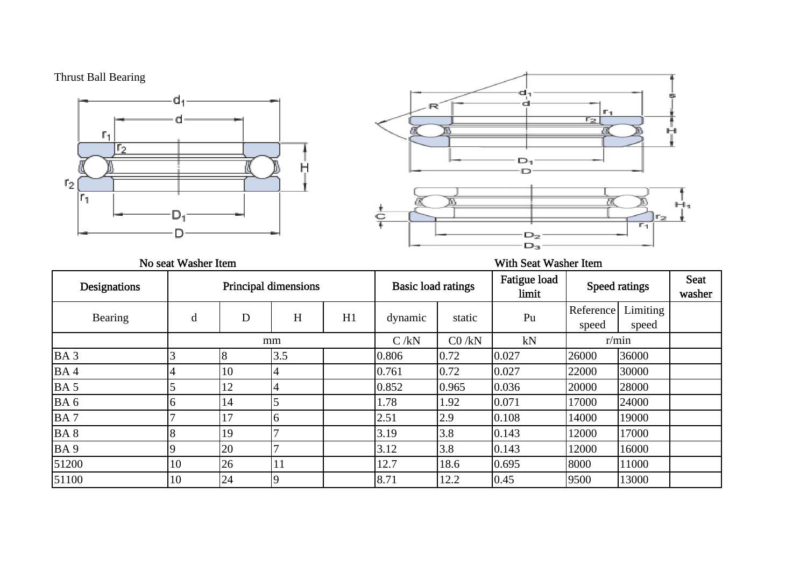## Thrust Ball Bearing





## No seat Washer Item **With Seat Washer Item** With Seat Washer Item

| Designations    | Principal dimensions |    |                | <b>Basic load ratings</b> |         | Fatigue load<br>limit | Speed ratings |                    | <b>Seat</b><br>washer |  |
|-----------------|----------------------|----|----------------|---------------------------|---------|-----------------------|---------------|--------------------|-----------------------|--|
| Bearing         | d                    | D  | H              | H1                        | dynamic | static                | Pu            | Reference<br>speed | Limiting<br>speed     |  |
|                 |                      |    | mm             |                           | C/kN    | CO / kN               | kN            |                    | r/min                 |  |
| BA <sub>3</sub> |                      |    | 3.5            |                           | 0.806   | 0.72                  | 0.027         | 26000              | 36000                 |  |
| BA4             |                      | 10 | $\overline{4}$ |                           | 0.761   | 0.72                  | 0.027         | 22000              | 30000                 |  |
| BA <sub>5</sub> |                      | 12 | $\overline{4}$ |                           | 0.852   | 0.965                 | 0.036         | 20000              | 28000                 |  |
| BA6             |                      | 14 |                |                           | 1.78    | 1.92                  | 0.071         | 17000              | 24000                 |  |
| BA7             |                      | 17 | 6              |                           | 2.51    | 2.9                   | 0.108         | 14000              | 19000                 |  |
| BA <sub>8</sub> |                      | 19 |                |                           | 3.19    | 3.8                   | 0.143         | 12000              | 17000                 |  |
| BA <sub>9</sub> |                      | 20 |                |                           | 3.12    | 3.8                   | 0.143         | 12000              | 16000                 |  |
| 51200           | 10                   | 26 | 11             |                           | 12.7    | 18.6                  | 0.695         | 8000               | 11000                 |  |
| 51100           | 10                   | 24 |                |                           | 8.71    | 12.2                  | 0.45          | 9500               | 13000                 |  |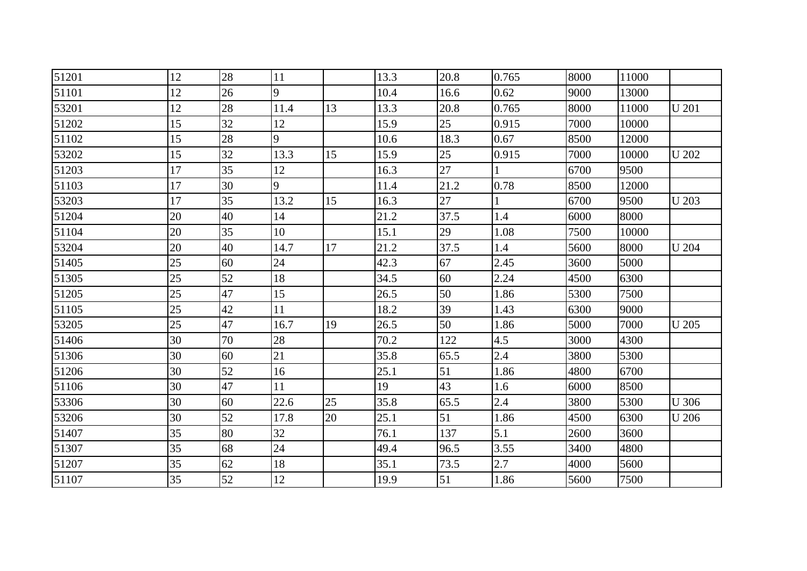| 51201 | 12 | 28 | 11   |    | 13.3 | 20.8 | 0.765 | 8000 | 11000 |              |
|-------|----|----|------|----|------|------|-------|------|-------|--------------|
| 51101 | 12 | 26 | 9    |    | 10.4 | 16.6 | 0.62  | 9000 | 13000 |              |
| 53201 | 12 | 28 | 11.4 | 13 | 13.3 | 20.8 | 0.765 | 8000 | 11000 | <b>U</b> 201 |
| 51202 | 15 | 32 | 12   |    | 15.9 | 25   | 0.915 | 7000 | 10000 |              |
| 51102 | 15 | 28 | 9    |    | 10.6 | 18.3 | 0.67  | 8500 | 12000 |              |
| 53202 | 15 | 32 | 13.3 | 15 | 15.9 | 25   | 0.915 | 7000 | 10000 | <b>U</b> 202 |
| 51203 | 17 | 35 | 12   |    | 16.3 | 27   |       | 6700 | 9500  |              |
| 51103 | 17 | 30 | 9    |    | 11.4 | 21.2 | 0.78  | 8500 | 12000 |              |
| 53203 | 17 | 35 | 13.2 | 15 | 16.3 | 27   |       | 6700 | 9500  | U 203        |
| 51204 | 20 | 40 | 14   |    | 21.2 | 37.5 | 1.4   | 6000 | 8000  |              |
| 51104 | 20 | 35 | 10   |    | 15.1 | 29   | 1.08  | 7500 | 10000 |              |
| 53204 | 20 | 40 | 14.7 | 17 | 21.2 | 37.5 | 1.4   | 5600 | 8000  | <b>U</b> 204 |
| 51405 | 25 | 60 | 24   |    | 42.3 | 67   | 2.45  | 3600 | 5000  |              |
| 51305 | 25 | 52 | 18   |    | 34.5 | 60   | 2.24  | 4500 | 6300  |              |
| 51205 | 25 | 47 | 15   |    | 26.5 | 50   | 1.86  | 5300 | 7500  |              |
| 51105 | 25 | 42 | 11   |    | 18.2 | 39   | 1.43  | 6300 | 9000  |              |
| 53205 | 25 | 47 | 16.7 | 19 | 26.5 | 50   | 1.86  | 5000 | 7000  | <b>U</b> 205 |
| 51406 | 30 | 70 | 28   |    | 70.2 | 122  | 4.5   | 3000 | 4300  |              |
| 51306 | 30 | 60 | 21   |    | 35.8 | 65.5 | 2.4   | 3800 | 5300  |              |
| 51206 | 30 | 52 | 16   |    | 25.1 | 51   | 1.86  | 4800 | 6700  |              |
| 51106 | 30 | 47 | 11   |    | 19   | 43   | 1.6   | 6000 | 8500  |              |
| 53306 | 30 | 60 | 22.6 | 25 | 35.8 | 65.5 | 2.4   | 3800 | 5300  | <b>U</b> 306 |
| 53206 | 30 | 52 | 17.8 | 20 | 25.1 | 51   | 1.86  | 4500 | 6300  | <b>U</b> 206 |
| 51407 | 35 | 80 | 32   |    | 76.1 | 137  | 5.1   | 2600 | 3600  |              |
| 51307 | 35 | 68 | 24   |    | 49.4 | 96.5 | 3.55  | 3400 | 4800  |              |
| 51207 | 35 | 62 | 18   |    | 35.1 | 73.5 | 2.7   | 4000 | 5600  |              |
| 51107 | 35 | 52 | 12   |    | 19.9 | 51   | 1.86  | 5600 | 7500  |              |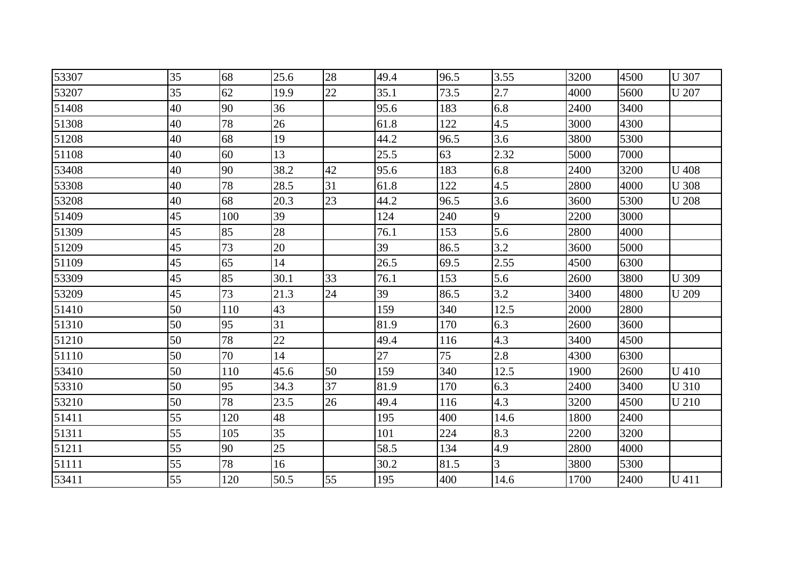| 53307 | 35 | 68  | 25.6 | 28 | 49.4 | 96.5 | 3.55 | 3200 | 4500 | <b>U</b> 307 |
|-------|----|-----|------|----|------|------|------|------|------|--------------|
| 53207 | 35 | 62  | 19.9 | 22 | 35.1 | 73.5 | 2.7  | 4000 | 5600 | <b>U</b> 207 |
| 51408 | 40 | 90  | 36   |    | 95.6 | 183  | 6.8  | 2400 | 3400 |              |
| 51308 | 40 | 78  | 26   |    | 61.8 | 122  | 4.5  | 3000 | 4300 |              |
| 51208 | 40 | 68  | 19   |    | 44.2 | 96.5 | 3.6  | 3800 | 5300 |              |
| 51108 | 40 | 60  | 13   |    | 25.5 | 63   | 2.32 | 5000 | 7000 |              |
| 53408 | 40 | 90  | 38.2 | 42 | 95.6 | 183  | 6.8  | 2400 | 3200 | <b>U</b> 408 |
| 53308 | 40 | 78  | 28.5 | 31 | 61.8 | 122  | 4.5  | 2800 | 4000 | <b>U</b> 308 |
| 53208 | 40 | 68  | 20.3 | 23 | 44.2 | 96.5 | 3.6  | 3600 | 5300 | <b>U</b> 208 |
| 51409 | 45 | 100 | 39   |    | 124  | 240  | 9    | 2200 | 3000 |              |
| 51309 | 45 | 85  | 28   |    | 76.1 | 153  | 5.6  | 2800 | 4000 |              |
| 51209 | 45 | 73  | 20   |    | 39   | 86.5 | 3.2  | 3600 | 5000 |              |
| 51109 | 45 | 65  | 14   |    | 26.5 | 69.5 | 2.55 | 4500 | 6300 |              |
| 53309 | 45 | 85  | 30.1 | 33 | 76.1 | 153  | 5.6  | 2600 | 3800 | <b>U</b> 309 |
| 53209 | 45 | 73  | 21.3 | 24 | 39   | 86.5 | 3.2  | 3400 | 4800 | U 209        |
| 51410 | 50 | 110 | 43   |    | 159  | 340  | 12.5 | 2000 | 2800 |              |
| 51310 | 50 | 95  | 31   |    | 81.9 | 170  | 6.3  | 2600 | 3600 |              |
| 51210 | 50 | 78  | 22   |    | 49.4 | 116  | 4.3  | 3400 | 4500 |              |
| 51110 | 50 | 70  | 14   |    | 27   | 75   | 2.8  | 4300 | 6300 |              |
| 53410 | 50 | 110 | 45.6 | 50 | 159  | 340  | 12.5 | 1900 | 2600 | U 410        |
| 53310 | 50 | 95  | 34.3 | 37 | 81.9 | 170  | 6.3  | 2400 | 3400 | U 310        |
| 53210 | 50 | 78  | 23.5 | 26 | 49.4 | 116  | 4.3  | 3200 | 4500 | <b>U210</b>  |
| 51411 | 55 | 120 | 48   |    | 195  | 400  | 14.6 | 1800 | 2400 |              |
| 51311 | 55 | 105 | 35   |    | 101  | 224  | 8.3  | 2200 | 3200 |              |
| 51211 | 55 | 90  | 25   |    | 58.5 | 134  | 4.9  | 2800 | 4000 |              |
| 51111 | 55 | 78  | 16   |    | 30.2 | 81.5 | 3    | 3800 | 5300 |              |
| 53411 | 55 | 120 | 50.5 | 55 | 195  | 400  | 14.6 | 1700 | 2400 | U 411        |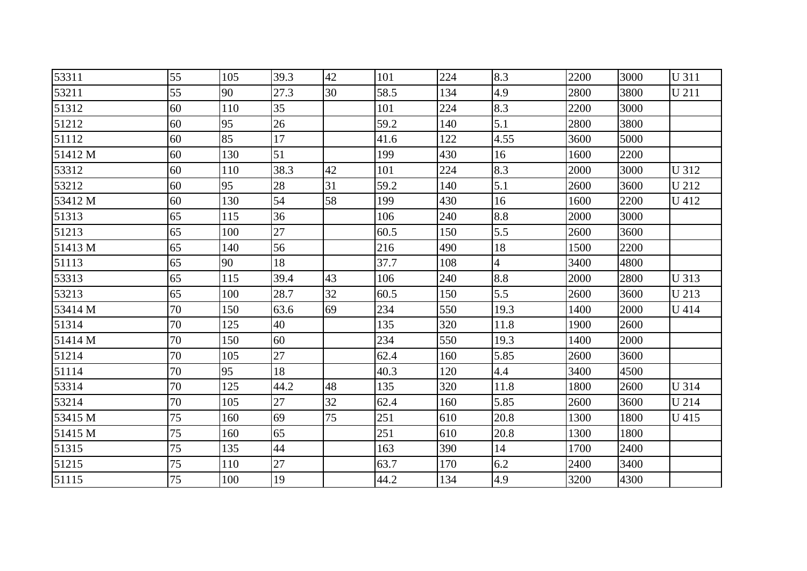| 53311   | 55 | 105 | 39.3 | 42 | 101  | 224 | 8.3            | 2200 | 3000 | <b>U311</b>  |
|---------|----|-----|------|----|------|-----|----------------|------|------|--------------|
| 53211   | 55 | 90  | 27.3 | 30 | 58.5 | 134 | 4.9            | 2800 | 3800 | U 211        |
| 51312   | 60 | 110 | 35   |    | 101  | 224 | 8.3            | 2200 | 3000 |              |
| 51212   | 60 | 95  | 26   |    | 59.2 | 140 | 5.1            | 2800 | 3800 |              |
| 51112   | 60 | 85  | 17   |    | 41.6 | 122 | 4.55           | 3600 | 5000 |              |
| 51412 M | 60 | 130 | 51   |    | 199  | 430 | 16             | 1600 | 2200 |              |
| 53312   | 60 | 110 | 38.3 | 42 | 101  | 224 | 8.3            | 2000 | 3000 | <b>U312</b>  |
| 53212   | 60 | 95  | 28   | 31 | 59.2 | 140 | 5.1            | 2600 | 3600 | U 212        |
| 53412 M | 60 | 130 | 54   | 58 | 199  | 430 | 16             | 1600 | 2200 | U 412        |
| 51313   | 65 | 115 | 36   |    | 106  | 240 | 8.8            | 2000 | 3000 |              |
| 51213   | 65 | 100 | 27   |    | 60.5 | 150 | 5.5            | 2600 | 3600 |              |
| 51413 M | 65 | 140 | 56   |    | 216  | 490 | 18             | 1500 | 2200 |              |
| 51113   | 65 | 90  | 18   |    | 37.7 | 108 | $\overline{4}$ | 3400 | 4800 |              |
| 53313   | 65 | 115 | 39.4 | 43 | 106  | 240 | 8.8            | 2000 | 2800 | U 313        |
| 53213   | 65 | 100 | 28.7 | 32 | 60.5 | 150 | 5.5            | 2600 | 3600 | U 213        |
| 53414 M | 70 | 150 | 63.6 | 69 | 234  | 550 | 19.3           | 1400 | 2000 | U 414        |
| 51314   | 70 | 125 | 40   |    | 135  | 320 | 11.8           | 1900 | 2600 |              |
| 51414 M | 70 | 150 | 60   |    | 234  | 550 | 19.3           | 1400 | 2000 |              |
| 51214   | 70 | 105 | 27   |    | 62.4 | 160 | 5.85           | 2600 | 3600 |              |
| 51114   | 70 | 95  | 18   |    | 40.3 | 120 | 4.4            | 3400 | 4500 |              |
| 53314   | 70 | 125 | 44.2 | 48 | 135  | 320 | 11.8           | 1800 | 2600 | <b>U</b> 314 |
| 53214   | 70 | 105 | 27   | 32 | 62.4 | 160 | 5.85           | 2600 | 3600 | <b>U214</b>  |
| 53415 M | 75 | 160 | 69   | 75 | 251  | 610 | 20.8           | 1300 | 1800 | U 415        |
| 51415 M | 75 | 160 | 65   |    | 251  | 610 | 20.8           | 1300 | 1800 |              |
| 51315   | 75 | 135 | 44   |    | 163  | 390 | 14             | 1700 | 2400 |              |
| 51215   | 75 | 110 | 27   |    | 63.7 | 170 | 6.2            | 2400 | 3400 |              |
| 51115   | 75 | 100 | 19   |    | 44.2 | 134 | 4.9            | 3200 | 4300 |              |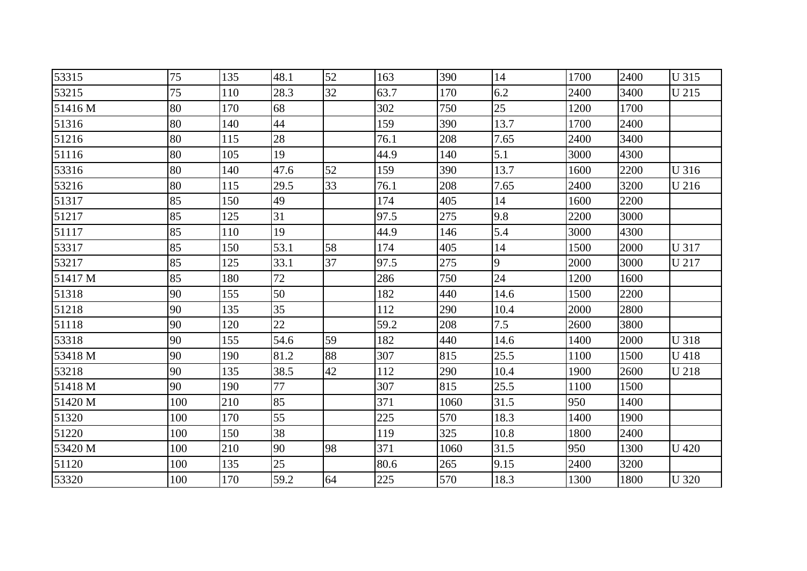| 53315   | 75  | 135 | 48.1 | 52 | 163  | 390  | 14   | 1700 | 2400 | <b>U315</b>  |
|---------|-----|-----|------|----|------|------|------|------|------|--------------|
| 53215   | 75  | 110 | 28.3 | 32 | 63.7 | 170  | 6.2  | 2400 | 3400 | U 215        |
| 51416 M | 80  | 170 | 68   |    | 302  | 750  | 25   | 1200 | 1700 |              |
| 51316   | 80  | 140 | 44   |    | 159  | 390  | 13.7 | 1700 | 2400 |              |
| 51216   | 80  | 115 | 28   |    | 76.1 | 208  | 7.65 | 2400 | 3400 |              |
| 51116   | 80  | 105 | 19   |    | 44.9 | 140  | 5.1  | 3000 | 4300 |              |
| 53316   | 80  | 140 | 47.6 | 52 | 159  | 390  | 13.7 | 1600 | 2200 | U 316        |
| 53216   | 80  | 115 | 29.5 | 33 | 76.1 | 208  | 7.65 | 2400 | 3200 | U 216        |
| 51317   | 85  | 150 | 49   |    | 174  | 405  | 14   | 1600 | 2200 |              |
| 51217   | 85  | 125 | 31   |    | 97.5 | 275  | 9.8  | 2200 | 3000 |              |
| 51117   | 85  | 110 | 19   |    | 44.9 | 146  | 5.4  | 3000 | 4300 |              |
| 53317   | 85  | 150 | 53.1 | 58 | 174  | 405  | 14   | 1500 | 2000 | U 317        |
| 53217   | 85  | 125 | 33.1 | 37 | 97.5 | 275  | 9    | 2000 | 3000 | U 217        |
| 51417 M | 85  | 180 | 72   |    | 286  | 750  | 24   | 1200 | 1600 |              |
| 51318   | 90  | 155 | 50   |    | 182  | 440  | 14.6 | 1500 | 2200 |              |
| 51218   | 90  | 135 | 35   |    | 112  | 290  | 10.4 | 2000 | 2800 |              |
| 51118   | 90  | 120 | 22   |    | 59.2 | 208  | 7.5  | 2600 | 3800 |              |
| 53318   | 90  | 155 | 54.6 | 59 | 182  | 440  | 14.6 | 1400 | 2000 | <b>U318</b>  |
| 53418 M | 90  | 190 | 81.2 | 88 | 307  | 815  | 25.5 | 1100 | 1500 | U 418        |
| 53218   | 90  | 135 | 38.5 | 42 | 112  | 290  | 10.4 | 1900 | 2600 | U 218        |
| 51418 M | 90  | 190 | 77   |    | 307  | 815  | 25.5 | 1100 | 1500 |              |
| 51420 M | 100 | 210 | 85   |    | 371  | 1060 | 31.5 | 950  | 1400 |              |
| 51320   | 100 | 170 | 55   |    | 225  | 570  | 18.3 | 1400 | 1900 |              |
| 51220   | 100 | 150 | 38   |    | 119  | 325  | 10.8 | 1800 | 2400 |              |
| 53420 M | 100 | 210 | 90   | 98 | 371  | 1060 | 31.5 | 950  | 1300 | <b>U</b> 420 |
| 51120   | 100 | 135 | 25   |    | 80.6 | 265  | 9.15 | 2400 | 3200 |              |
| 53320   | 100 | 170 | 59.2 | 64 | 225  | 570  | 18.3 | 1300 | 1800 | <b>U</b> 320 |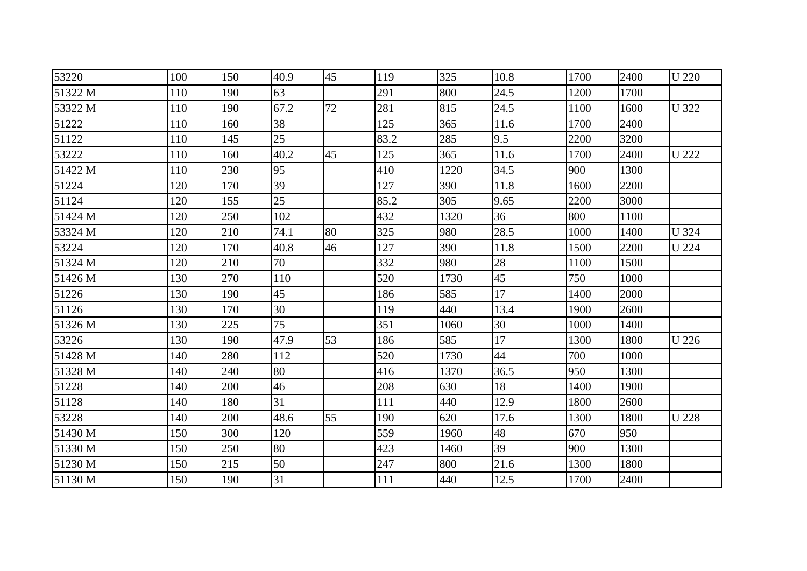| 53220   | 100 | 150 | 40.9 | 45 | 119  | 325  | 10.8 | 1700 | 2400 | <b>U</b> 220 |
|---------|-----|-----|------|----|------|------|------|------|------|--------------|
| 51322 M | 110 | 190 | 63   |    | 291  | 800  | 24.5 | 1200 | 1700 |              |
| 53322 M | 110 | 190 | 67.2 | 72 | 281  | 815  | 24.5 | 1100 | 1600 | <b>U</b> 322 |
| 51222   | 110 | 160 | 38   |    | 125  | 365  | 11.6 | 1700 | 2400 |              |
| 51122   | 110 | 145 | 25   |    | 83.2 | 285  | 9.5  | 2200 | 3200 |              |
| 53222   | 110 | 160 | 40.2 | 45 | 125  | 365  | 11.6 | 1700 | 2400 | <b>U</b> 222 |
| 51422 M | 110 | 230 | 95   |    | 410  | 1220 | 34.5 | 900  | 1300 |              |
| 51224   | 120 | 170 | 39   |    | 127  | 390  | 11.8 | 1600 | 2200 |              |
| 51124   | 120 | 155 | 25   |    | 85.2 | 305  | 9.65 | 2200 | 3000 |              |
| 51424 M | 120 | 250 | 102  |    | 432  | 1320 | 36   | 800  | 1100 |              |
| 53324 M | 120 | 210 | 74.1 | 80 | 325  | 980  | 28.5 | 1000 | 1400 | <b>U</b> 324 |
| 53224   | 120 | 170 | 40.8 | 46 | 127  | 390  | 11.8 | 1500 | 2200 | <b>U</b> 224 |
| 51324 M | 120 | 210 | 70   |    | 332  | 980  | 28   | 1100 | 1500 |              |
| 51426 M | 130 | 270 | 110  |    | 520  | 1730 | 45   | 750  | 1000 |              |
| 51226   | 130 | 190 | 45   |    | 186  | 585  | 17   | 1400 | 2000 |              |
| 51126   | 130 | 170 | 30   |    | 119  | 440  | 13.4 | 1900 | 2600 |              |
| 51326 M | 130 | 225 | 75   |    | 351  | 1060 | 30   | 1000 | 1400 |              |
| 53226   | 130 | 190 | 47.9 | 53 | 186  | 585  | 17   | 1300 | 1800 | <b>U</b> 226 |
| 51428 M | 140 | 280 | 112  |    | 520  | 1730 | 44   | 700  | 1000 |              |
| 51328 M | 140 | 240 | 80   |    | 416  | 1370 | 36.5 | 950  | 1300 |              |
| 51228   | 140 | 200 | 46   |    | 208  | 630  | 18   | 1400 | 1900 |              |
| 51128   | 140 | 180 | 31   |    | 111  | 440  | 12.9 | 1800 | 2600 |              |
| 53228   | 140 | 200 | 48.6 | 55 | 190  | 620  | 17.6 | 1300 | 1800 | <b>U228</b>  |
| 51430 M | 150 | 300 | 120  |    | 559  | 1960 | 48   | 670  | 950  |              |
| 51330 M | 150 | 250 | 80   |    | 423  | 1460 | 39   | 900  | 1300 |              |
| 51230 M | 150 | 215 | 50   |    | 247  | 800  | 21.6 | 1300 | 1800 |              |
| 51130 M | 150 | 190 | 31   |    | 111  | 440  | 12.5 | 1700 | 2400 |              |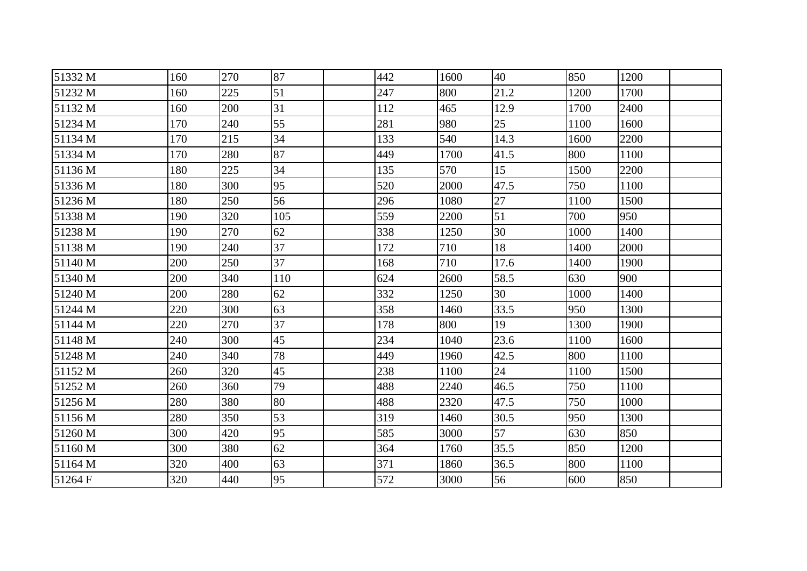| 51332 M | 160 | 270 | 87  | 442 | 1600 | 40   | 850  | 1200 |  |
|---------|-----|-----|-----|-----|------|------|------|------|--|
| 51232 M | 160 | 225 | 51  | 247 | 800  | 21.2 | 1200 | 1700 |  |
| 51132 M | 160 | 200 | 31  | 112 | 465  | 12.9 | 1700 | 2400 |  |
| 51234 M | 170 | 240 | 55  | 281 | 980  | 25   | 1100 | 1600 |  |
| 51134 M | 170 | 215 | 34  | 133 | 540  | 14.3 | 1600 | 2200 |  |
| 51334 M | 170 | 280 | 87  | 449 | 1700 | 41.5 | 800  | 1100 |  |
| 51136 M | 180 | 225 | 34  | 135 | 570  | 15   | 1500 | 2200 |  |
| 51336 M | 180 | 300 | 95  | 520 | 2000 | 47.5 | 750  | 1100 |  |
| 51236 M | 180 | 250 | 56  | 296 | 1080 | 27   | 1100 | 1500 |  |
| 51338 M | 190 | 320 | 105 | 559 | 2200 | 51   | 700  | 950  |  |
| 51238 M | 190 | 270 | 62  | 338 | 1250 | 30   | 1000 | 1400 |  |
| 51138 M | 190 | 240 | 37  | 172 | 710  | 18   | 1400 | 2000 |  |
| 51140 M | 200 | 250 | 37  | 168 | 710  | 17.6 | 1400 | 1900 |  |
| 51340 M | 200 | 340 | 110 | 624 | 2600 | 58.5 | 630  | 900  |  |
| 51240 M | 200 | 280 | 62  | 332 | 1250 | 30   | 1000 | 1400 |  |
| 51244 M | 220 | 300 | 63  | 358 | 1460 | 33.5 | 950  | 1300 |  |
| 51144 M | 220 | 270 | 37  | 178 | 800  | 19   | 1300 | 1900 |  |
| 51148 M | 240 | 300 | 45  | 234 | 1040 | 23.6 | 1100 | 1600 |  |
| 51248 M | 240 | 340 | 78  | 449 | 1960 | 42.5 | 800  | 1100 |  |
| 51152 M | 260 | 320 | 45  | 238 | 1100 | 24   | 1100 | 1500 |  |
| 51252 M | 260 | 360 | 79  | 488 | 2240 | 46.5 | 750  | 1100 |  |
| 51256 M | 280 | 380 | 80  | 488 | 2320 | 47.5 | 750  | 1000 |  |
| 51156 M | 280 | 350 | 53  | 319 | 1460 | 30.5 | 950  | 1300 |  |
| 51260 M | 300 | 420 | 95  | 585 | 3000 | 57   | 630  | 850  |  |
| 51160 M | 300 | 380 | 62  | 364 | 1760 | 35.5 | 850  | 1200 |  |
| 51164 M | 320 | 400 | 63  | 371 | 1860 | 36.5 | 800  | 1100 |  |
| 51264 F | 320 | 440 | 95  | 572 | 3000 | 56   | 600  | 850  |  |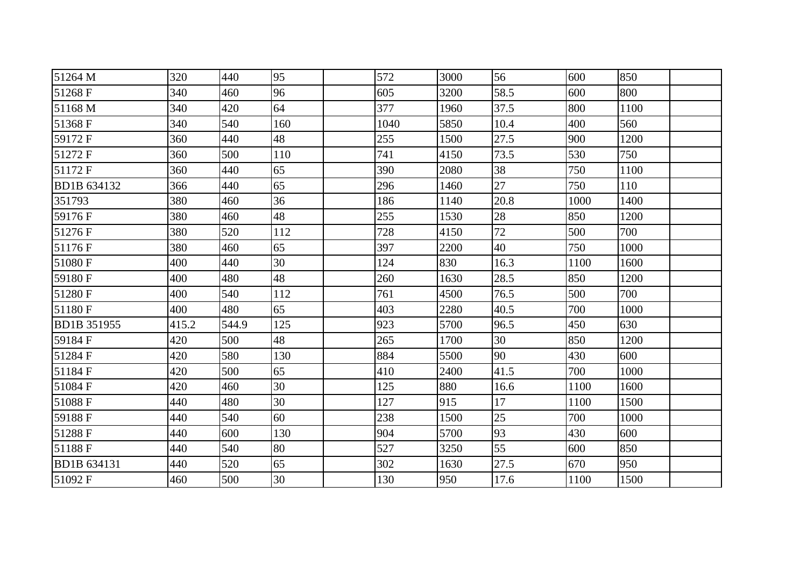| 51264 M            | 320   | 440   | 95  | 572  | 3000 | 56   | 600  | 850  |  |
|--------------------|-------|-------|-----|------|------|------|------|------|--|
| 51268 F            | 340   | 460   | 96  | 605  | 3200 | 58.5 | 600  | 800  |  |
| 51168 M            | 340   | 420   | 64  | 377  | 1960 | 37.5 | 800  | 1100 |  |
| 51368 F            | 340   | 540   | 160 | 1040 | 5850 | 10.4 | 400  | 560  |  |
| 59172 F            | 360   | 440   | 48  | 255  | 1500 | 27.5 | 900  | 1200 |  |
| 51272 F            | 360   | 500   | 110 | 741  | 4150 | 73.5 | 530  | 750  |  |
| 51172 F            | 360   | 440   | 65  | 390  | 2080 | 38   | 750  | 1100 |  |
| BD1B 634132        | 366   | 440   | 65  | 296  | 1460 | 27   | 750  | 110  |  |
| 351793             | 380   | 460   | 36  | 186  | 1140 | 20.8 | 1000 | 1400 |  |
| 59176 F            | 380   | 460   | 48  | 255  | 1530 | 28   | 850  | 1200 |  |
| 51276 F            | 380   | 520   | 112 | 728  | 4150 | 72   | 500  | 700  |  |
| 51176 F            | 380   | 460   | 65  | 397  | 2200 | 40   | 750  | 1000 |  |
| 51080F             | 400   | 440   | 30  | 124  | 830  | 16.3 | 1100 | 1600 |  |
| 59180 F            | 400   | 480   | 48  | 260  | 1630 | 28.5 | 850  | 1200 |  |
| 51280 F            | 400   | 540   | 112 | 761  | 4500 | 76.5 | 500  | 700  |  |
| 51180 F            | 400   | 480   | 65  | 403  | 2280 | 40.5 | 700  | 1000 |  |
| <b>BD1B 351955</b> | 415.2 | 544.9 | 125 | 923  | 5700 | 96.5 | 450  | 630  |  |
| 59184 F            | 420   | 500   | 48  | 265  | 1700 | 30   | 850  | 1200 |  |
| 51284 F            | 420   | 580   | 130 | 884  | 5500 | 90   | 430  | 600  |  |
| 51184 F            | 420   | 500   | 65  | 410  | 2400 | 41.5 | 700  | 1000 |  |
| 51084 F            | 420   | 460   | 30  | 125  | 880  | 16.6 | 1100 | 1600 |  |
| 51088 F            | 440   | 480   | 30  | 127  | 915  | 17   | 1100 | 1500 |  |
| 59188 F            | 440   | 540   | 60  | 238  | 1500 | 25   | 700  | 1000 |  |
| 51288 F            | 440   | 600   | 130 | 904  | 5700 | 93   | 430  | 600  |  |
| 51188 F            | 440   | 540   | 80  | 527  | 3250 | 55   | 600  | 850  |  |
| <b>BD1B 634131</b> | 440   | 520   | 65  | 302  | 1630 | 27.5 | 670  | 950  |  |
| 51092 F            | 460   | 500   | 30  | 130  | 950  | 17.6 | 1100 | 1500 |  |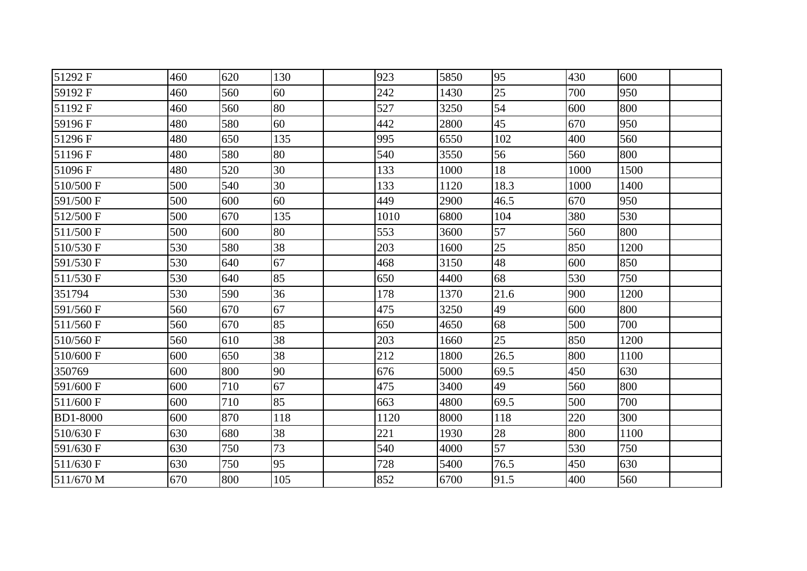| 51292 F         | 460 | 620 | 130 | 923  | 5850 | 95   | 430  | 600  |
|-----------------|-----|-----|-----|------|------|------|------|------|
| 59192 F         | 460 | 560 | 60  | 242  | 1430 | 25   | 700  | 950  |
| 51192 F         | 460 | 560 | 80  | 527  | 3250 | 54   | 600  | 800  |
| 59196 F         | 480 | 580 | 60  | 442  | 2800 | 45   | 670  | 950  |
| 51296 F         | 480 | 650 | 135 | 995  | 6550 | 102  | 400  | 560  |
| 51196 F         | 480 | 580 | 80  | 540  | 3550 | 56   | 560  | 800  |
| 51096 F         | 480 | 520 | 30  | 133  | 1000 | 18   | 1000 | 1500 |
| 510/500 F       | 500 | 540 | 30  | 133  | 1120 | 18.3 | 1000 | 1400 |
| 591/500 F       | 500 | 600 | 60  | 449  | 2900 | 46.5 | 670  | 950  |
| 512/500 F       | 500 | 670 | 135 | 1010 | 6800 | 104  | 380  | 530  |
| 511/500 F       | 500 | 600 | 80  | 553  | 3600 | 57   | 560  | 800  |
| 510/530 F       | 530 | 580 | 38  | 203  | 1600 | 25   | 850  | 1200 |
| 591/530 F       | 530 | 640 | 67  | 468  | 3150 | 48   | 600  | 850  |
| 511/530 F       | 530 | 640 | 85  | 650  | 4400 | 68   | 530  | 750  |
| 351794          | 530 | 590 | 36  | 178  | 1370 | 21.6 | 900  | 1200 |
| 591/560 F       | 560 | 670 | 67  | 475  | 3250 | 49   | 600  | 800  |
| 511/560 F       | 560 | 670 | 85  | 650  | 4650 | 68   | 500  | 700  |
| 510/560 F       | 560 | 610 | 38  | 203  | 1660 | 25   | 850  | 1200 |
| 510/600 F       | 600 | 650 | 38  | 212  | 1800 | 26.5 | 800  | 1100 |
| 350769          | 600 | 800 | 90  | 676  | 5000 | 69.5 | 450  | 630  |
| 591/600 F       | 600 | 710 | 67  | 475  | 3400 | 49   | 560  | 800  |
| 511/600 F       | 600 | 710 | 85  | 663  | 4800 | 69.5 | 500  | 700  |
| <b>BD1-8000</b> | 600 | 870 | 118 | 1120 | 8000 | 118  | 220  | 300  |
| 510/630 F       | 630 | 680 | 38  | 221  | 1930 | 28   | 800  | 1100 |
| 591/630 F       | 630 | 750 | 73  | 540  | 4000 | 57   | 530  | 750  |
| 511/630 F       | 630 | 750 | 95  | 728  | 5400 | 76.5 | 450  | 630  |
| 511/670 M       | 670 | 800 | 105 | 852  | 6700 | 91.5 | 400  | 560  |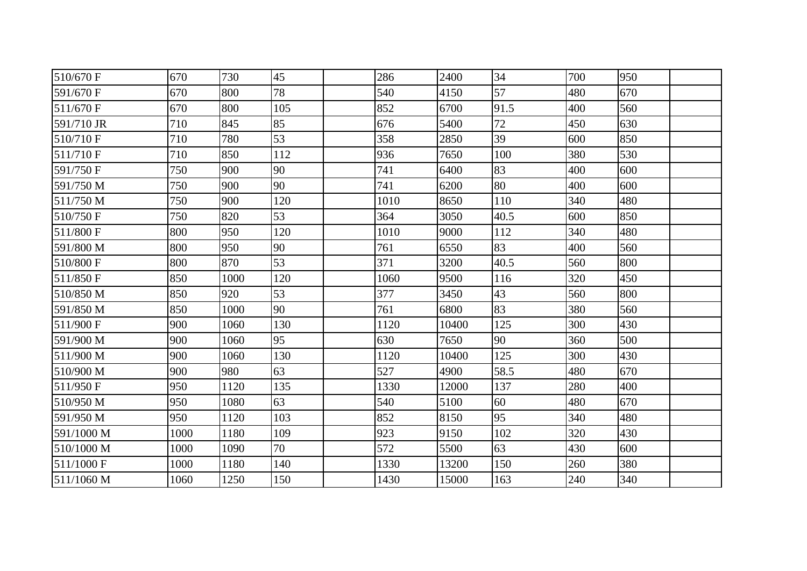| 510/670 F  | 670  | 730  | 45  | 286  | 2400  | 34   | 700 | 950 |  |
|------------|------|------|-----|------|-------|------|-----|-----|--|
| 591/670 F  | 670  | 800  | 78  | 540  | 4150  | 57   | 480 | 670 |  |
| 511/670 F  | 670  | 800  | 105 | 852  | 6700  | 91.5 | 400 | 560 |  |
| 591/710 JR | 710  | 845  | 85  | 676  | 5400  | 72   | 450 | 630 |  |
| 510/710 F  | 710  | 780  | 53  | 358  | 2850  | 39   | 600 | 850 |  |
| 511/710 F  | 710  | 850  | 112 | 936  | 7650  | 100  | 380 | 530 |  |
| 591/750 F  | 750  | 900  | 90  | 741  | 6400  | 83   | 400 | 600 |  |
| 591/750 M  | 750  | 900  | 90  | 741  | 6200  | 80   | 400 | 600 |  |
| 511/750 M  | 750  | 900  | 120 | 1010 | 8650  | 110  | 340 | 480 |  |
| 510/750 F  | 750  | 820  | 53  | 364  | 3050  | 40.5 | 600 | 850 |  |
| 511/800 F  | 800  | 950  | 120 | 1010 | 9000  | 112  | 340 | 480 |  |
| 591/800 M  | 800  | 950  | 90  | 761  | 6550  | 83   | 400 | 560 |  |
| 510/800 F  | 800  | 870  | 53  | 371  | 3200  | 40.5 | 560 | 800 |  |
| 511/850 F  | 850  | 1000 | 120 | 1060 | 9500  | 116  | 320 | 450 |  |
| 510/850 M  | 850  | 920  | 53  | 377  | 3450  | 43   | 560 | 800 |  |
| 591/850 M  | 850  | 1000 | 90  | 761  | 6800  | 83   | 380 | 560 |  |
| 511/900 F  | 900  | 1060 | 130 | 1120 | 10400 | 125  | 300 | 430 |  |
| 591/900 M  | 900  | 1060 | 95  | 630  | 7650  | 90   | 360 | 500 |  |
| 511/900 M  | 900  | 1060 | 130 | 1120 | 10400 | 125  | 300 | 430 |  |
| 510/900 M  | 900  | 980  | 63  | 527  | 4900  | 58.5 | 480 | 670 |  |
| 511/950 F  | 950  | 1120 | 135 | 1330 | 12000 | 137  | 280 | 400 |  |
| 510/950 M  | 950  | 1080 | 63  | 540  | 5100  | 60   | 480 | 670 |  |
| 591/950 M  | 950  | 1120 | 103 | 852  | 8150  | 95   | 340 | 480 |  |
| 591/1000 M | 1000 | 1180 | 109 | 923  | 9150  | 102  | 320 | 430 |  |
| 510/1000 M | 1000 | 1090 | 70  | 572  | 5500  | 63   | 430 | 600 |  |
| 511/1000 F | 1000 | 1180 | 140 | 1330 | 13200 | 150  | 260 | 380 |  |
| 511/1060 M | 1060 | 1250 | 150 | 1430 | 15000 | 163  | 240 | 340 |  |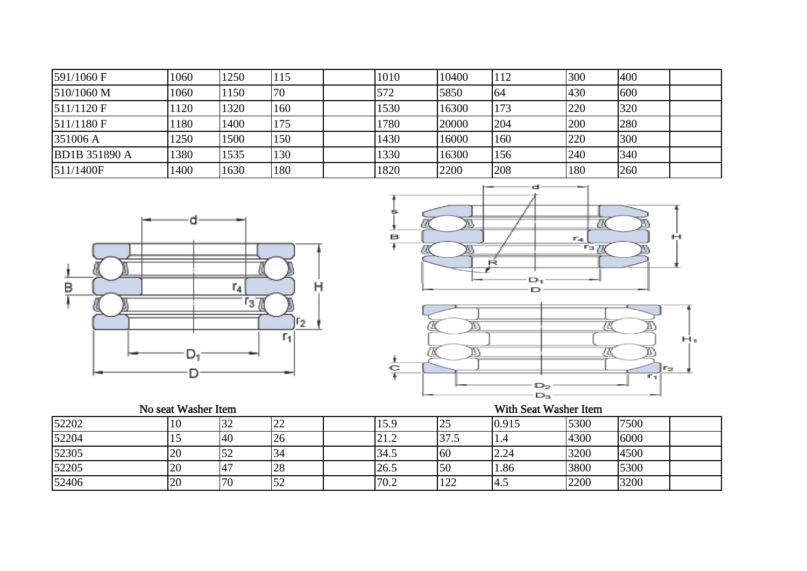| 591/1060 F           | 1060 | 1250 | 115 | 1010 | 10400 | 112 | 300 | 400 |  |
|----------------------|------|------|-----|------|-------|-----|-----|-----|--|
| 510/1060 M           | 1060 | 1150 | 70  | 572  | 5850  | 64  | 430 | 600 |  |
| $511/1120$ F         | 1120 | 1320 | 160 | 1530 | 16300 | 173 | 220 | 320 |  |
| $511/1180$ F         | 1180 | 1400 | 175 | 1780 | 20000 | 204 | 200 | 280 |  |
| 351006 A             | 1250 | 1500 | 150 | 1430 | 16000 | 160 | 220 | 300 |  |
| <b>BD1B 351890 A</b> | 1380 | 1535 | 130 | 1330 | 16300 | 156 | 240 | 340 |  |
| 511/1400F            | 1400 | 1630 | 180 | 1820 | 2200  | 208 | 180 | 260 |  |





## No seat Washer Item

|       | No seat Washer Item |     |    | With Seat Washer Item |      |       |      |      |  |  |  |
|-------|---------------------|-----|----|-----------------------|------|-------|------|------|--|--|--|
| 52202 | 10                  | 32  | ∠∠ | 15.9                  | 25   | 0.915 | 5300 | 7500 |  |  |  |
| 52204 | ⊥J                  | 40  | 20 | 21.2                  | 37.5 | 1.4   | 4300 | 6000 |  |  |  |
| 52305 | 20                  |     |    | 34.5                  | 60   | 2.24  | 3200 | 4500 |  |  |  |
| 52205 | 20                  | 147 | 28 | 26.5                  | 50   | 1.86  | 3800 | 5300 |  |  |  |
| 52406 | 20                  | 70  | ΟŹ | 70.2                  | 122  | -4.5  | 2200 | 3200 |  |  |  |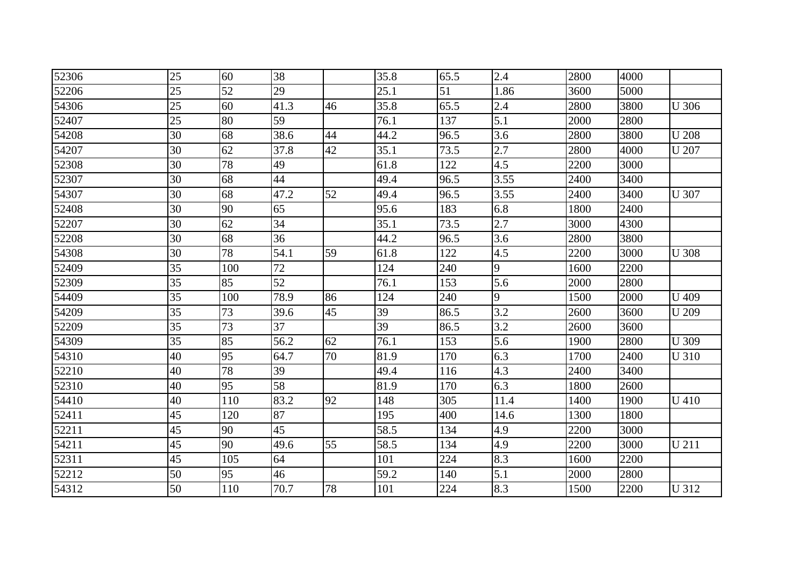| 52306 | 25              | 60              | 38              |    | 35.8 | 65.5 | 2.4  | 2800 | 4000 |              |
|-------|-----------------|-----------------|-----------------|----|------|------|------|------|------|--------------|
|       |                 |                 |                 |    |      |      |      |      |      |              |
| 52206 | 25              | 52              | 29              |    | 25.1 | 51   | 1.86 | 3600 | 5000 |              |
| 54306 | 25              | 60              | 41.3            | 46 | 35.8 | 65.5 | 2.4  | 2800 | 3800 | <b>U</b> 306 |
| 52407 | 25              | 80              | 59              |    | 76.1 | 137  | 5.1  | 2000 | 2800 |              |
| 54208 | 30              | 68              | 38.6            | 44 | 44.2 | 96.5 | 3.6  | 2800 | 3800 | <b>U</b> 208 |
| 54207 | 30              | 62              | 37.8            | 42 | 35.1 | 73.5 | 2.7  | 2800 | 4000 | <b>U</b> 207 |
| 52308 | 30              | 78              | 49              |    | 61.8 | 122  | 4.5  | 2200 | 3000 |              |
| 52307 | 30              | 68              | 44              |    | 49.4 | 96.5 | 3.55 | 2400 | 3400 |              |
| 54307 | 30              | 68              | 47.2            | 52 | 49.4 | 96.5 | 3.55 | 2400 | 3400 | <b>U</b> 307 |
| 52408 | 30              | 90              | 65              |    | 95.6 | 183  | 6.8  | 1800 | 2400 |              |
| 52207 | 30              | 62              | 34              |    | 35.1 | 73.5 | 2.7  | 3000 | 4300 |              |
| 52208 | 30              | 68              | 36              |    | 44.2 | 96.5 | 3.6  | 2800 | 3800 |              |
| 54308 | 30              | 78              | 54.1            | 59 | 61.8 | 122  | 4.5  | 2200 | 3000 | <b>U</b> 308 |
| 52409 | 35              | 100             | 72              |    | 124  | 240  | 9    | 1600 | 2200 |              |
| 52309 | 35              | 85              | 52              |    | 76.1 | 153  | 5.6  | 2000 | 2800 |              |
| 54409 | 35              | 100             | 78.9            | 86 | 124  | 240  | 9    | 1500 | 2000 | <b>U</b> 409 |
| 54209 | 35              | 73              | 39.6            | 45 | 39   | 86.5 | 3.2  | 2600 | 3600 | <b>U</b> 209 |
| 52209 | $\overline{35}$ | 73              | 37              |    | 39   | 86.5 | 3.2  | 2600 | 3600 |              |
| 54309 | 35              | 85              | 56.2            | 62 | 76.1 | 153  | 5.6  | 1900 | 2800 | <b>U</b> 309 |
| 54310 | 40              | $\overline{95}$ | 64.7            | 70 | 81.9 | 170  | 6.3  | 1700 | 2400 | <b>U</b> 310 |
| 52210 | 40              | 78              | 39              |    | 49.4 | 116  | 4.3  | 2400 | 3400 |              |
| 52310 | 40              | 95              | 58              |    | 81.9 | 170  | 6.3  | 1800 | 2600 |              |
| 54410 | 40              | 110             | 83.2            | 92 | 148  | 305  | 11.4 | 1400 | 1900 | U 410        |
| 52411 | 45              | 120             | 87              |    | 195  | 400  | 14.6 | 1300 | 1800 |              |
| 52211 | $\overline{45}$ | 90              | $\overline{45}$ |    | 58.5 | 134  | 4.9  | 2200 | 3000 |              |
| 54211 | 45              | 90              | 49.6            | 55 | 58.5 | 134  | 4.9  | 2200 | 3000 | U 211        |
| 52311 | 45              | 105             | 64              |    | 101  | 224  | 8.3  | 1600 | 2200 |              |
| 52212 | 50              | 95              | 46              |    | 59.2 | 140  | 5.1  | 2000 | 2800 |              |
| 54312 | 50              | 110             | 70.7            | 78 | 101  | 224  | 8.3  | 1500 | 2200 | <b>U312</b>  |